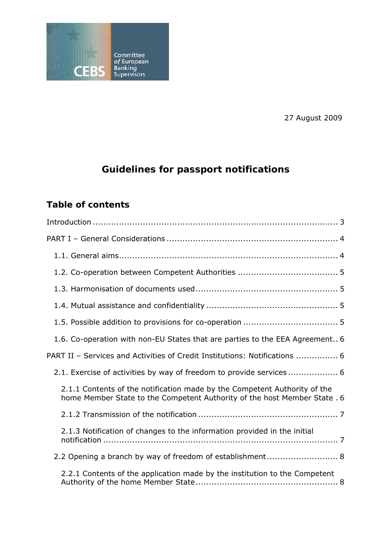

27 August 2009

# **Guidelines for passport notifications**

## **Table of contents**

| 1.6. Co-operation with non-EU States that are parties to the EEA Agreement 6                                                                           |
|--------------------------------------------------------------------------------------------------------------------------------------------------------|
| PART II - Services and Activities of Credit Institutions: Notifications  6                                                                             |
| 2.1. Exercise of activities by way of freedom to provide services 6                                                                                    |
| 2.1.1 Contents of the notification made by the Competent Authority of the<br>home Member State to the Competent Authority of the host Member State . 6 |
|                                                                                                                                                        |
| 2.1.3 Notification of changes to the information provided in the initial                                                                               |
| 2.2 Opening a branch by way of freedom of establishment 8                                                                                              |
| 2.2.1 Contents of the application made by the institution to the Competent                                                                             |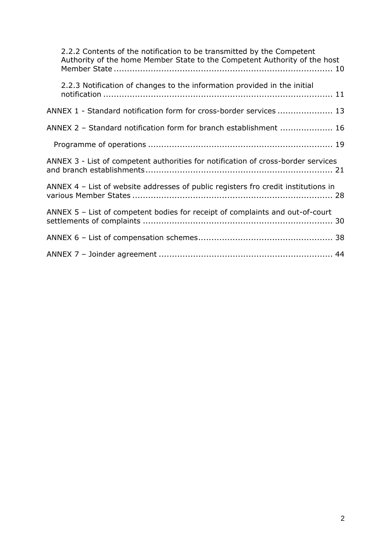| 2.2.2 Contents of the notification to be transmitted by the Competent<br>Authority of the home Member State to the Competent Authority of the host |
|----------------------------------------------------------------------------------------------------------------------------------------------------|
| 2.2.3 Notification of changes to the information provided in the initial                                                                           |
| ANNEX 1 - Standard notification form for cross-border services  13                                                                                 |
| ANNEX 2 - Standard notification form for branch establishment  16                                                                                  |
|                                                                                                                                                    |
| ANNEX 3 - List of competent authorities for notification of cross-border services                                                                  |
| ANNEX 4 - List of website addresses of public registers fro credit institutions in                                                                 |
| ANNEX 5 - List of competent bodies for receipt of complaints and out-of-court                                                                      |
|                                                                                                                                                    |
|                                                                                                                                                    |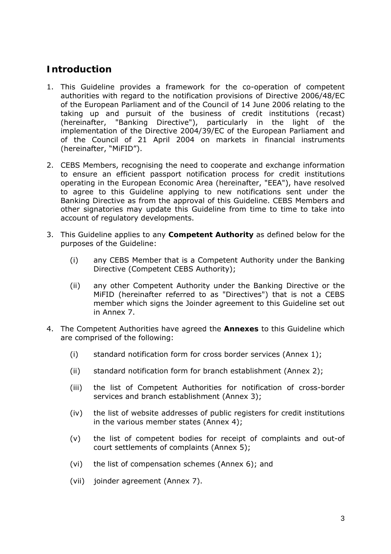## **Introduction**

- 1. This Guideline provides a framework for the co-operation of competent authorities with regard to the notification provisions of Directive 2006/48/EC of the European Parliament and of the Council of 14 June 2006 relating to the taking up and pursuit of the business of credit institutions (recast) (hereinafter, "Banking Directive"), particularly in the light of the implementation of the Directive 2004/39/EC of the European Parliament and of the Council of 21 April 2004 on markets in financial instruments (hereinafter, "MiFID").
- 2. CEBS Members, recognising the need to cooperate and exchange information to ensure an efficient passport notification process for credit institutions operating in the European Economic Area (hereinafter, "EEA"), have resolved to agree to this Guideline applying to new notifications sent under the Banking Directive as from the approval of this Guideline. CEBS Members and other signatories may update this Guideline from time to time to take into account of regulatory developments.
- 3. This Guideline applies to any **Competent Authority** as defined below for the purposes of the Guideline:
	- (i) any CEBS Member that is a Competent Authority under the Banking Directive (Competent CEBS Authority);
	- (ii) any other Competent Authority under the Banking Directive or the MiFID (hereinafter referred to as "Directives") that is not a CEBS member which signs the Joinder agreement to this Guideline set out in Annex 7.
- 4. The Competent Authorities have agreed the **Annexes** to this Guideline which are comprised of the following:
	- (i) standard notification form for cross border services (Annex 1);
	- (ii) standard notification form for branch establishment (Annex 2);
	- (iii) the list of Competent Authorities for notification of cross-border services and branch establishment (Annex 3);
	- (iv) the list of website addresses of public registers for credit institutions in the various member states (Annex 4);
	- (v) the list of competent bodies for receipt of complaints and out-of court settlements of complaints (Annex 5);
	- (vi) the list of compensation schemes (Annex 6); and
	- (vii) joinder agreement (Annex 7).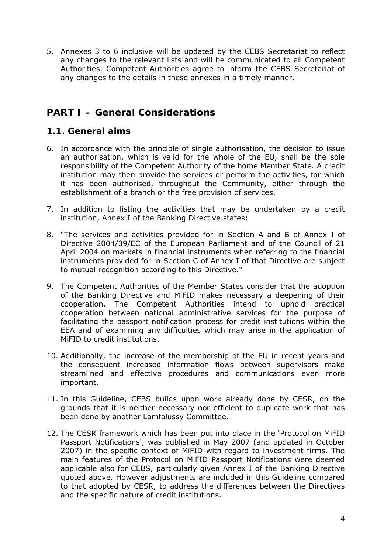5. Annexes 3 to 6 inclusive will be updated by the CEBS Secretariat to reflect any changes to the relevant lists and will be communicated to all Competent Authorities. Competent Authorities agree to inform the CEBS Secretariat of any changes to the details in these annexes in a timely manner.

## **PART I – General Considerations**

### *1.1. General aims*

- 6. In accordance with the principle of single authorisation, the decision to issue an authorisation, which is valid for the whole of the EU, shall be the sole responsibility of the Competent Authority of the home Member State. A credit institution may then provide the services or perform the activities, for which it has been authorised, throughout the Community, either through the establishment of a branch or the free provision of services.
- 7. In addition to listing the activities that may be undertaken by a credit institution, Annex I of the Banking Directive states:
- 8. "The services and activities provided for in Section A and B of Annex I of Directive 2004/39/EC of the European Parliament and of the Council of 21 April 2004 on markets in financial instruments when referring to the financial instruments provided for in Section C of Annex I of that Directive are subject to mutual recognition according to this Directive."
- 9. The Competent Authorities of the Member States consider that the adoption of the Banking Directive and MiFID makes necessary a deepening of their cooperation. The Competent Authorities intend to uphold practical cooperation between national administrative services for the purpose of facilitating the passport notification process for credit institutions within the EEA and of examining any difficulties which may arise in the application of MiFID to credit institutions.
- 10. Additionally, the increase of the membership of the EU in recent years and the consequent increased information flows between supervisors make streamlined and effective procedures and communications even more important.
- 11. In this Guideline, CEBS builds upon work already done by CESR, on the grounds that it is neither necessary nor efficient to duplicate work that has been done by another Lamfalussy Committee.
- 12. The CESR framework which has been put into place in the 'Protocol on MiFID Passport Notifications', was published in May 2007 (and updated in October 2007) in the specific context of MiFID with regard to investment firms. The main features of the Protocol on MiFID Passport Notifications were deemed applicable also for CEBS, particularly given Annex I of the Banking Directive quoted above. However adjustments are included in this Guideline compared to that adopted by CESR, to address the differences between the Directives and the specific nature of credit institutions.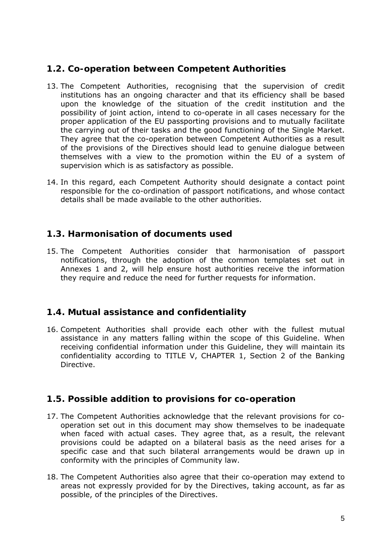### *1.2. Co-operation between Competent Authorities*

- 13. The Competent Authorities, recognising that the supervision of credit institutions has an ongoing character and that its efficiency shall be based upon the knowledge of the situation of the credit institution and the possibility of joint action, intend to co-operate in all cases necessary for the proper application of the EU passporting provisions and to mutually facilitate the carrying out of their tasks and the good functioning of the Single Market. They agree that the co-operation between Competent Authorities as a result of the provisions of the Directives should lead to genuine dialogue between themselves with a view to the promotion within the EU of a system of supervision which is as satisfactory as possible.
- 14. In this regard, each Competent Authority should designate a contact point responsible for the co-ordination of passport notifications, and whose contact details shall be made available to the other authorities.

### *1.3. Harmonisation of documents used*

15. The Competent Authorities consider that harmonisation of passport notifications, through the adoption of the common templates set out in Annexes 1 and 2, will help ensure host authorities receive the information they require and reduce the need for further requests for information.

### *1.4. Mutual assistance and confidentiality*

16. Competent Authorities shall provide each other with the fullest mutual assistance in any matters falling within the scope of this Guideline. When receiving confidential information under this Guideline, they will maintain its confidentiality according to TITLE V, CHAPTER 1, Section 2 of the Banking Directive.

### *1.5. Possible addition to provisions for co-operation*

- 17. The Competent Authorities acknowledge that the relevant provisions for cooperation set out in this document may show themselves to be inadequate when faced with actual cases. They agree that, as a result, the relevant provisions could be adapted on a bilateral basis as the need arises for a specific case and that such bilateral arrangements would be drawn up in conformity with the principles of Community law.
- 18. The Competent Authorities also agree that their co-operation may extend to areas not expressly provided for by the Directives, taking account, as far as possible, of the principles of the Directives.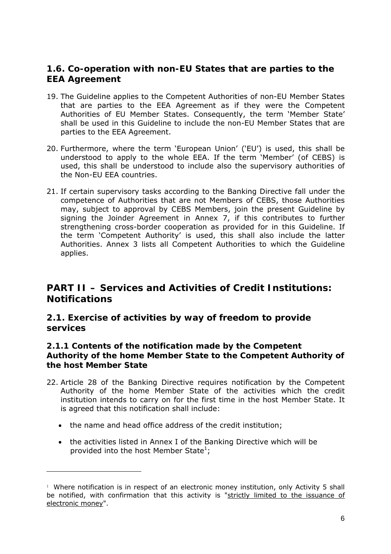### *1.6. Co-operation with non-EU States that are parties to the EEA Agreement*

- 19. The Guideline applies to the Competent Authorities of non-EU Member States that are parties to the EEA Agreement as if they were the Competent Authorities of EU Member States. Consequently, the term 'Member State' shall be used in this Guideline to include the non-EU Member States that are parties to the EEA Agreement.
- 20. Furthermore, where the term 'European Union' ('EU') is used, this shall be understood to apply to the whole EEA. If the term 'Member' (of CEBS) is used, this shall be understood to include also the supervisory authorities of the Non-EU EEA countries.
- 21. If certain supervisory tasks according to the Banking Directive fall under the competence of Authorities that are not Members of CEBS, those Authorities may, subject to approval by CEBS Members, join the present Guideline by signing the Joinder Agreement in Annex 7, if this contributes to further strengthening cross-border cooperation as provided for in this Guideline. If the term 'Competent Authority' is used, this shall also include the latter Authorities. Annex 3 lists all Competent Authorities to which the Guideline applies.

## **PART II – Services and Activities of Credit Institutions: Notifications**

### *2.1. Exercise of activities by way of freedom to provide services*

#### **2.1.1 Contents of the notification made by the Competent Authority of the home Member State to the Competent Authority of the host Member State**

- 22. Article 28 of the Banking Directive requires notification by the Competent Authority of the home Member State of the activities which the credit institution intends to carry on for the first time in the host Member State. It is agreed that this notification shall include:
	- the name and head office address of the credit institution;

• the activities listed in Annex I of the Banking Directive which will be provided into the host Member State<sup>1</sup>;

 $1$  Where notification is in respect of an electronic money institution, only Activity 5 shall be notified, with confirmation that this activity is "strictly limited to the issuance of electronic money".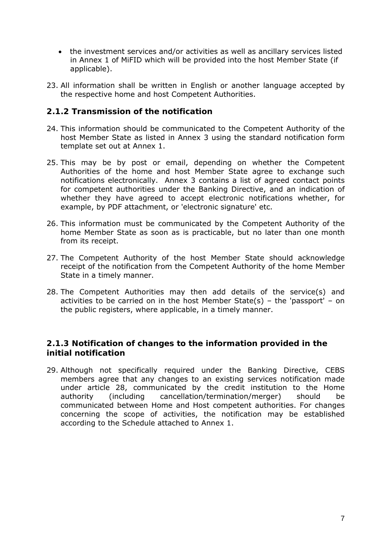- the investment services and/or activities as well as ancillary services listed in Annex 1 of MiFID which will be provided into the host Member State (if applicable).
- 23. All information shall be written in English or another language accepted by the respective home and host Competent Authorities.

#### **2.1.2 Transmission of the notification**

- 24. This information should be communicated to the Competent Authority of the host Member State as listed in Annex 3 using the standard notification form template set out at Annex 1.
- 25. This may be by post or email, depending on whether the Competent Authorities of the home and host Member State agree to exchange such notifications electronically. Annex 3 contains a list of agreed contact points for competent authorities under the Banking Directive, and an indication of whether they have agreed to accept electronic notifications whether, for example, by PDF attachment, or 'electronic signature' etc.
- 26. This information must be communicated by the Competent Authority of the home Member State as soon as is practicable, but no later than one month from its receipt.
- 27. The Competent Authority of the host Member State should acknowledge receipt of the notification from the Competent Authority of the home Member State in a timely manner.
- 28. The Competent Authorities may then add details of the service(s) and activities to be carried on in the host Member State(s) – the 'passport' – on the public registers, where applicable, in a timely manner.

### **2.1.3 Notification of changes to the information provided in the initial notification**

29. Although not specifically required under the Banking Directive, CEBS members agree that any changes to an existing services notification made under article 28, communicated by the credit institution to the Home authority (including cancellation/termination/merger) should be communicated between Home and Host competent authorities. For changes concerning the scope of activities, the notification may be established according to the Schedule attached to Annex 1.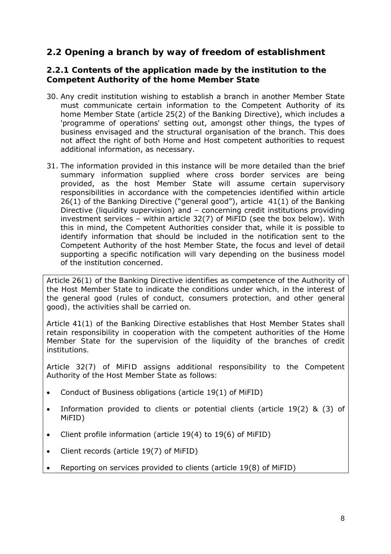### *2.2 Opening a branch by way of freedom of establishment*

#### **2.2.1 Contents of the application made by the institution to the Competent Authority of the home Member State**

- 30. Any credit institution wishing to establish a branch in another Member State must communicate certain information to the Competent Authority of its home Member State (article 25(2) of the Banking Directive), which includes a 'programme of operations' setting out, amongst other things, the types of business envisaged and the structural organisation of the branch. This does not affect the right of both Home and Host competent authorities to request additional information, as necessary.
- 31. The information provided in this instance will be more detailed than the brief summary information supplied where cross border services are being provided, as the host Member State will assume certain supervisory responsibilities in accordance with the competencies identified within article 26(1) of the Banking Directive ("general good"), article 41(1) of the Banking Directive (liquidity supervision) and – concerning credit institutions providing investment services – within article 32(7) of MiFID (see the box below). With this in mind, the Competent Authorities consider that, while it is possible to identify information that should be included in the notification sent to the Competent Authority of the host Member State, the focus and level of detail supporting a specific notification will vary depending on the business model of the institution concerned.

*Article 26(1) of the Banking Directive identifies as competence of the Authority of the Host Member State to indicate the conditions under which, in the interest of the general good (rules of conduct, consumers protection, and other general good), the activities shall be carried on.* 

*Article 41(1) of the Banking Directive establishes that Host Member States shall retain responsibility in cooperation with the competent authorities of the Home Member State for the supervision of the liquidity of the branches of credit institutions.* 

*Article 32(7) of MiFID assigns additional responsibility to the Competent Authority of the Host Member State as follows:* 

- Conduct of Business obligations (article 19(1) of MiFID)
- Information provided to clients or potential clients (article 19(2) & (3) of MiFID)
- Client profile information (article 19(4) to 19(6) of MiFID)
- Client records (article 19(7) of MiFID)
- Reporting on services provided to clients (article 19(8) of MiFID)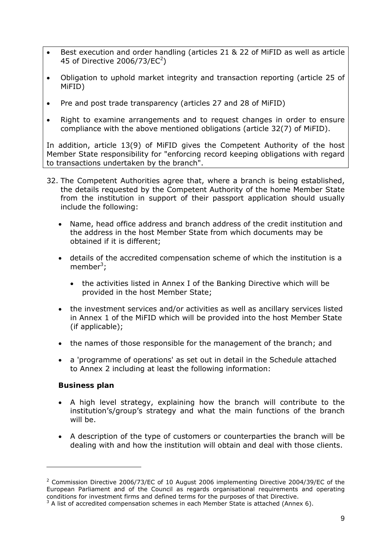- Best execution and order handling (articles 21 & 22 of MiFID as well as article 45 of Directive 2006/73/EC<sup>2</sup>)
- Obligation to uphold market integrity and transaction reporting (article 25 of MiFID)
- Pre and post trade transparency (articles 27 and 28 of MiFID)
- Right to examine arrangements and to request changes in order to ensure compliance with the above mentioned obligations (article 32(7) of MiFID).

In addition, article 13(9) of MiFID gives the Competent Authority of the host Member State responsibility for "enforcing record keeping obligations with regard to transactions undertaken by the branch".

- 32. The Competent Authorities agree that, where a branch is being established, the details requested by the Competent Authority of the home Member State from the institution in support of their passport application should usually include the following:
	- Name, head office address and branch address of the credit institution and the address in the host Member State from which documents may be obtained if it is different;
	- details of the accredited compensation scheme of which the institution is a member<sup>3</sup>;
		- the activities listed in Annex I of the Banking Directive which will be provided in the host Member State;
	- the investment services and/or activities as well as ancillary services listed in Annex 1 of the MiFID which will be provided into the host Member State (if applicable);
	- the names of those responsible for the management of the branch; and
	- a 'programme of operations' as set out in detail in the Schedule attached to Annex 2 including at least the following information:

#### **Business plan**

- A high level strategy, explaining how the branch will contribute to the institution's/group's strategy and what the main functions of the branch will be.
- A description of the type of customers or counterparties the branch will be dealing with and how the institution will obtain and deal with those clients.

<sup>&</sup>lt;sup>2</sup> Commission Directive 2006/73/EC of 10 August 2006 implementing Directive 2004/39/EC of the European Parliament and of the Council as regards organisational requirements and operating conditions for investment firms and defined terms for the purposes of that Directive.

 $3$  A list of accredited compensation schemes in each Member State is attached (Annex 6).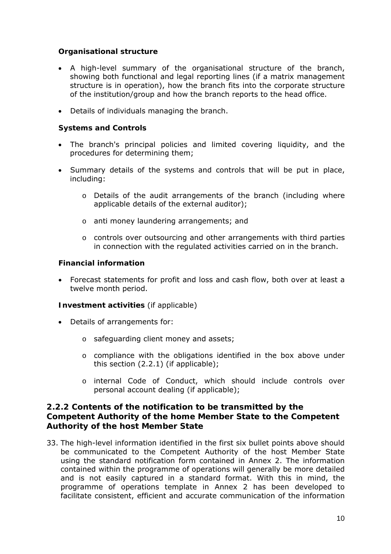#### **Organisational structure**

- A high-level summary of the organisational structure of the branch, showing both functional and legal reporting lines (if a matrix management structure is in operation), how the branch fits into the corporate structure of the institution/group and how the branch reports to the head office.
- Details of individuals managing the branch.

#### **Systems and Controls**

- The branch's principal policies and limited covering liquidity, and the procedures for determining them;
- Summary details of the systems and controls that will be put in place, including:
	- o Details of the audit arrangements of the branch (including where applicable details of the external auditor);
	- o anti money laundering arrangements; and
	- o controls over outsourcing and other arrangements with third parties in connection with the regulated activities carried on in the branch.

#### **Financial information**

• Forecast statements for profit and loss and cash flow, both over at least a twelve month period.

#### **Investment activities** (if applicable)

- Details of arrangements for:
	- o safeguarding client money and assets;
	- o compliance with the obligations identified in the box above under this section (2.2.1) (if applicable);
	- o internal Code of Conduct, which should include controls over personal account dealing (if applicable);

#### **2.2.2 Contents of the notification to be transmitted by the Competent Authority of the home Member State to the Competent Authority of the host Member State**

33. The high-level information identified in the first six bullet points above should be communicated to the Competent Authority of the host Member State using the standard notification form contained in Annex 2. The information contained within the programme of operations will generally be more detailed and is not easily captured in a standard format. With this in mind, the programme of operations template in Annex 2 has been developed to facilitate consistent, efficient and accurate communication of the information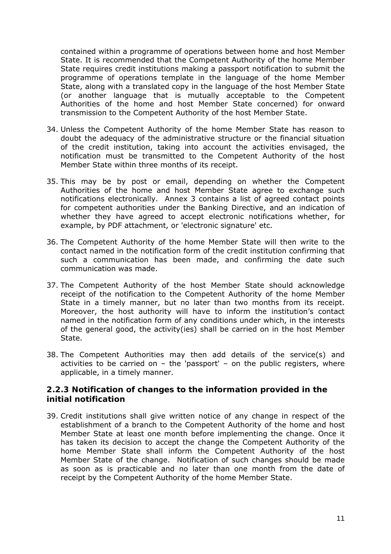contained within a programme of operations between home and host Member State. It is recommended that the Competent Authority of the home Member State requires credit institutions making a passport notification to submit the programme of operations template in the language of the home Member State, along with a translated copy in the language of the host Member State (or another language that is mutually acceptable to the Competent Authorities of the home and host Member State concerned) for onward transmission to the Competent Authority of the host Member State.

- 34. Unless the Competent Authority of the home Member State has reason to doubt the adequacy of the administrative structure or the financial situation of the credit institution, taking into account the activities envisaged, the notification must be transmitted to the Competent Authority of the host Member State within three months of its receipt.
- 35. This may be by post or email, depending on whether the Competent Authorities of the home and host Member State agree to exchange such notifications electronically. Annex 3 contains a list of agreed contact points for competent authorities under the Banking Directive, and an indication of whether they have agreed to accept electronic notifications whether, for example, by PDF attachment, or 'electronic signature' etc.
- 36. The Competent Authority of the home Member State will then write to the contact named in the notification form of the credit institution confirming that such a communication has been made, and confirming the date such communication was made.
- 37. The Competent Authority of the host Member State should acknowledge receipt of the notification to the Competent Authority of the home Member State in a timely manner, but no later than two months from its receipt. Moreover, the host authority will have to inform the institution's contact named in the notification form of any conditions under which, in the interests of the general good, the activity(ies) shall be carried on in the host Member State.
- 38. The Competent Authorities may then add details of the service(s) and activities to be carried on  $-$  the 'passport'  $-$  on the public registers, where applicable, in a timely manner.

#### **2.2.3 Notification of changes to the information provided in the initial notification**

39. Credit institutions shall give written notice of any change in respect of the establishment of a branch to the Competent Authority of the home and host Member State at least one month before implementing the change. Once it has taken its decision to accept the change the Competent Authority of the home Member State shall inform the Competent Authority of the host Member State of the change. Notification of such changes should be made as soon as is practicable and no later than one month from the date of receipt by the Competent Authority of the home Member State.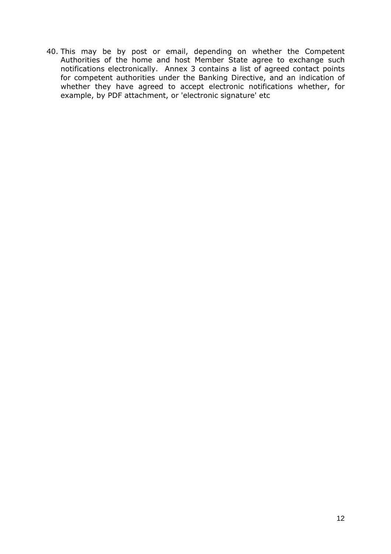40. This may be by post or email, depending on whether the Competent Authorities of the home and host Member State agree to exchange such notifications electronically. Annex 3 contains a list of agreed contact points for competent authorities under the Banking Directive, and an indication of whether they have agreed to accept electronic notifications whether, for example, by PDF attachment, or 'electronic signature' etc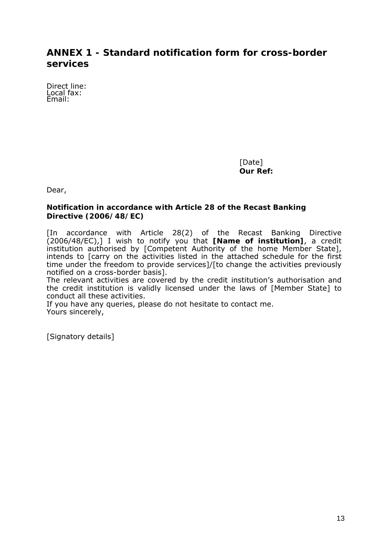## **ANNEX 1 - Standard notification form for cross-border services**

Direct line: Local fax: Email:

> [Date] **Our Ref:**

Dear,

#### **Notification in accordance with Article 28 of the Recast Banking Directive (2006/48/EC)**

[In accordance with Article 28(2) of the Recast Banking Directive (2006/48/EC),] I wish to notify you that **[Name of institution]**, a credit institution authorised by [Competent Authority of the home Member State], intends to [carry on the activities listed in the attached schedule for the first time under the freedom to provide services]/[to change the activities previously notified on a cross-border basis].

The relevant activities are covered by the credit institution's authorisation and the credit institution is validly licensed under the laws of [Member State] to conduct all these activities.

If you have any queries, please do not hesitate to contact me. Yours sincerely,

[Signatory details]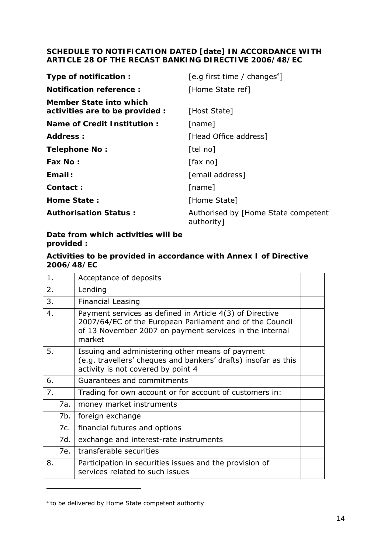#### **SCHEDULE TO NOTIFICATION DATED [date] IN ACCORDANCE WITH ARTICLE 28 OF THE RECAST BANKING DIRECTIVE 2006/48/EC**

| Type of notification:                                      | [e.g first time / changes <sup>4</sup> ]          |
|------------------------------------------------------------|---------------------------------------------------|
| Notification reference:                                    | [Home State ref]                                  |
| Member State into which<br>activities are to be provided : | [Host State]                                      |
| Name of Credit Institution:                                | [name]                                            |
| Address:                                                   | [Head Office address]                             |
| Telephone No:                                              | [tel no]                                          |
| Fax No:                                                    | $\lceil$ fax no $\rceil$                          |
| Email:                                                     | [email address]                                   |
| Contact:                                                   | [name]                                            |
| Home State:                                                | [Home State]                                      |
| <b>Authorisation Status:</b>                               | Authorised by [Home State competent<br>authority] |

**Date from which activities will be provided :** 

#### **Activities to be provided in accordance with Annex I of Directive 2006/48/EC**

| 1. |     | Acceptance of deposits                                                                                                                                                                    |  |
|----|-----|-------------------------------------------------------------------------------------------------------------------------------------------------------------------------------------------|--|
| 2. |     | Lending                                                                                                                                                                                   |  |
| 3. |     | <b>Financial Leasing</b>                                                                                                                                                                  |  |
| 4. |     | Payment services as defined in Article 4(3) of Directive<br>2007/64/EC of the European Parliament and of the Council<br>of 13 November 2007 on payment services in the internal<br>market |  |
| 5. |     | Issuing and administering other means of payment<br>(e.g. travellers' cheques and bankers' drafts) insofar as this<br>activity is not covered by point 4                                  |  |
| 6. |     | Guarantees and commitments                                                                                                                                                                |  |
| 7. |     | Trading for own account or for account of customers in:                                                                                                                                   |  |
|    | 7a. | money market instruments                                                                                                                                                                  |  |
|    | 7b. | foreign exchange                                                                                                                                                                          |  |
|    | 7c. | financial futures and options                                                                                                                                                             |  |
|    | 7d. | exchange and interest-rate instruments                                                                                                                                                    |  |
|    |     | 7e. transferable securities                                                                                                                                                               |  |
| 8. |     | Participation in securities issues and the provision of<br>services related to such issues                                                                                                |  |
|    |     |                                                                                                                                                                                           |  |

<sup>4</sup> to be delivered by Home State competent authority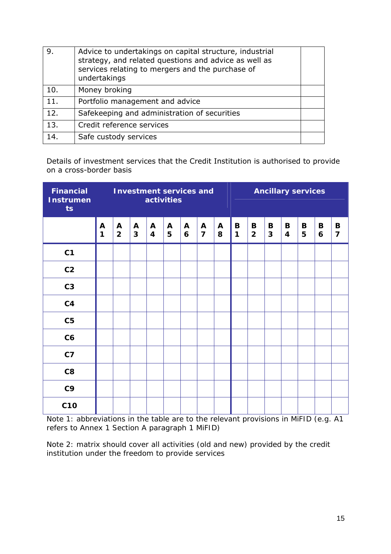| 9.  | Advice to undertakings on capital structure, industrial<br>strategy, and related questions and advice as well as<br>services relating to mergers and the purchase of<br>undertakings |  |
|-----|--------------------------------------------------------------------------------------------------------------------------------------------------------------------------------------|--|
| 10. | Money broking                                                                                                                                                                        |  |
| 11. | Portfolio management and advice                                                                                                                                                      |  |
| 12. | Safekeeping and administration of securities                                                                                                                                         |  |
| 13. | Credit reference services                                                                                                                                                            |  |
| 14. | Safe custody services                                                                                                                                                                |  |

Details of investment services that the Credit Institution is authorised to provide on a cross-border basis

| <b>Instrumen</b><br>ts | Financial Investment services and<br>activities |                     |                              |                                |                   |                   | <b>Ancillary services</b> |                   |                  |                     |                   |                               |        |        |                     |
|------------------------|-------------------------------------------------|---------------------|------------------------------|--------------------------------|-------------------|-------------------|---------------------------|-------------------|------------------|---------------------|-------------------|-------------------------------|--------|--------|---------------------|
|                        | A<br>1                                          | A<br>$\overline{2}$ | $\mathbf{A}$<br>$\mathbf{3}$ | $\mathbf{A}$<br>$\overline{4}$ | $\mathbf{A}$<br>5 | $\mathbf{A}$<br>6 | A<br>$\overline{7}$       | $\mathbf{A}$<br>8 | $\mathbf B$<br>1 | B<br>$\overline{2}$ | B<br>$\mathbf{3}$ | $\mathbf B$<br>$\overline{4}$ | B<br>5 | B<br>6 | B<br>$\overline{7}$ |
| C <sub>1</sub>         |                                                 |                     |                              |                                |                   |                   |                           |                   |                  |                     |                   |                               |        |        |                     |
| C <sub>2</sub>         |                                                 |                     |                              |                                |                   |                   |                           |                   |                  |                     |                   |                               |        |        |                     |
| C <sub>3</sub>         |                                                 |                     |                              |                                |                   |                   |                           |                   |                  |                     |                   |                               |        |        |                     |
| C <sub>4</sub>         |                                                 |                     |                              |                                |                   |                   |                           |                   |                  |                     |                   |                               |        |        |                     |
| C <sub>5</sub>         |                                                 |                     |                              |                                |                   |                   |                           |                   |                  |                     |                   |                               |        |        |                     |
| C6                     |                                                 |                     |                              |                                |                   |                   |                           |                   |                  |                     |                   |                               |        |        |                     |
| C <sub>7</sub>         |                                                 |                     |                              |                                |                   |                   |                           |                   |                  |                     |                   |                               |        |        |                     |
| C8                     |                                                 |                     |                              |                                |                   |                   |                           |                   |                  |                     |                   |                               |        |        |                     |
| C <sub>9</sub>         |                                                 |                     |                              |                                |                   |                   |                           |                   |                  |                     |                   |                               |        |        |                     |
| <b>C10</b>             |                                                 |                     |                              |                                |                   |                   |                           |                   |                  |                     |                   |                               |        |        |                     |

*Note 1: abbreviations in the table are to the relevant provisions in MiFID (e.g. A1 refers to Annex 1 Section A paragraph 1 MiFID)* 

*Note 2: matrix should cover all activities (old and new) provided by the credit institution under the freedom to provide services*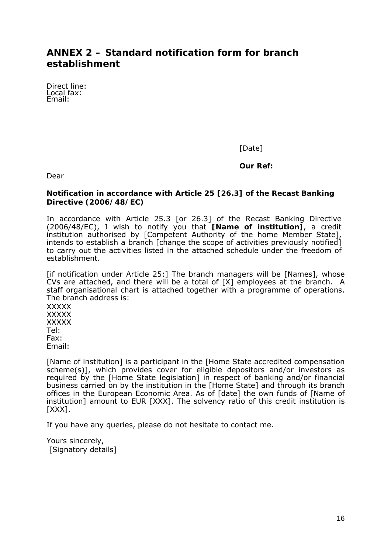## **ANNEX 2 – Standard notification form for branch establishment**

Direct line: Local fax: Email:

[Date]

**Our Ref:** 

Dear

#### **Notification in accordance with Article 25 [26.3] of the Recast Banking Directive (2006/48/EC)**

In accordance with Article 25.3 [or 26.3] of the Recast Banking Directive (2006/48/EC), I wish to notify you that **[Name of institution]**, a credit institution authorised by [Competent Authority of the home Member State], intends to establish a branch [change the scope of activities previously notified] to carry out the activities listed in the attached schedule under the freedom of establishment.

[if notification under Article 25:] The branch managers will be [Names], whose CVs are attached, and there will be a total of [X] employees at the branch. A staff organisational chart is attached together with a programme of operations. The branch address is:

**XXXXX XXXXX XXXXX** Tel: Fax: Email:

[Name of institution] is a participant in the [Home State accredited compensation scheme(s)], which provides cover for eligible depositors and/or investors as required by the [Home State legislation] in respect of banking and/or financial business carried on by the institution in the [Home State] and through its branch offices in the European Economic Area. As of [date] the own funds of [Name of institution] amount to EUR [XXX]. The solvency ratio of this credit institution is [XXX].

If you have any queries, please do not hesitate to contact me.

Yours sincerely, [Signatory details]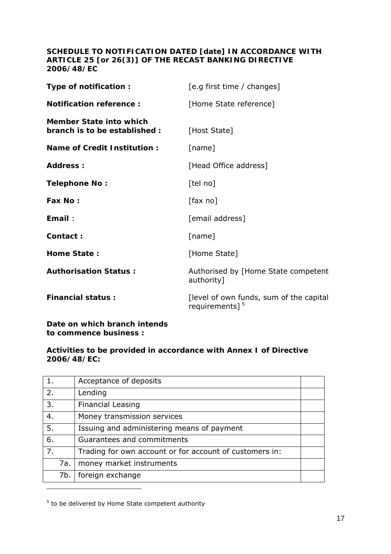#### **SCHEDULE TO NOTIFICATION DATED [date] IN ACCORDANCE WITH ARTICLE 25 [or 26(3)] OF THE RECAST BANKING DIRECTIVE 2006/48/EC**

| Type of notification :                                   | [e.g first time / changes]                                   |
|----------------------------------------------------------|--------------------------------------------------------------|
| <b>Notification reference:</b>                           | [Home State reference]                                       |
| Member State into which<br>branch is to be established : | [Host State]                                                 |
| <b>Name of Credit Institution:</b>                       | [name]                                                       |
| Address:                                                 | [Head Office address]                                        |
| <b>Telephone No:</b>                                     | [tel no]                                                     |
| Fax No:                                                  | $\lceil$ fax no $\rceil$                                     |
| Email:                                                   | [email address]                                              |
| Contact:                                                 | [name]                                                       |
| <b>Home State:</b>                                       | [Home State]                                                 |
| <b>Authorisation Status:</b>                             | Authorised by [Home State competent<br>authority]            |
| <b>Financial status:</b>                                 | [level of own funds, sum of the capital<br>requirements] $5$ |

**Date on which branch intends to commence business :** 

#### **Activities to be provided in accordance with Annex I of Directive 2006/48/EC:**

| 1.  |     | Acceptance of deposits                                  |  |
|-----|-----|---------------------------------------------------------|--|
| 2.  |     | Lending                                                 |  |
| 3.  |     | <b>Financial Leasing</b>                                |  |
| 4.  |     | Money transmission services                             |  |
| -5. |     | Issuing and administering means of payment              |  |
| 6.  |     | Guarantees and commitments                              |  |
| 7.  |     | Trading for own account or for account of customers in: |  |
|     | 7a. | money market instruments                                |  |
|     | 7b. | foreign exchange                                        |  |
|     |     |                                                         |  |

<sup>&</sup>lt;sup>5</sup> to be delivered by Home State competent authority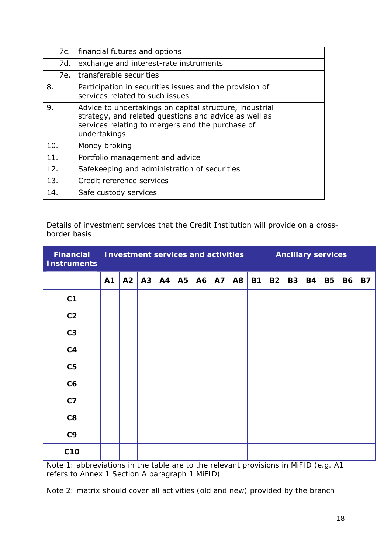| 7c. | financial futures and options                                                                                                                                                        |  |
|-----|--------------------------------------------------------------------------------------------------------------------------------------------------------------------------------------|--|
| 7d. | exchange and interest-rate instruments                                                                                                                                               |  |
| 7e. | transferable securities                                                                                                                                                              |  |
| 8.  | Participation in securities issues and the provision of<br>services related to such issues                                                                                           |  |
| 9.  | Advice to undertakings on capital structure, industrial<br>strategy, and related questions and advice as well as<br>services relating to mergers and the purchase of<br>undertakings |  |
| 10. | Money broking                                                                                                                                                                        |  |
| 11. | Portfolio management and advice                                                                                                                                                      |  |
| 12. | Safekeeping and administration of securities                                                                                                                                         |  |
| 13. | Credit reference services                                                                                                                                                            |  |
| 14. | Safe custody services                                                                                                                                                                |  |

Details of investment services that the Credit Institution will provide on a crossborder basis

| <b>Financial</b><br><b>Instruments</b> |    | <b>Investment services and activities</b> |    |    |           |    |           |                | <b>Ancillary services</b> |           |           |           |           |           |           |  |
|----------------------------------------|----|-------------------------------------------|----|----|-----------|----|-----------|----------------|---------------------------|-----------|-----------|-----------|-----------|-----------|-----------|--|
|                                        | A1 | A2                                        | A3 | A4 | <b>A5</b> | A6 | <b>A7</b> | A <sub>8</sub> | <b>B1</b>                 | <b>B2</b> | <b>B3</b> | <b>B4</b> | <b>B5</b> | <b>B6</b> | <b>B7</b> |  |
| C <sub>1</sub>                         |    |                                           |    |    |           |    |           |                |                           |           |           |           |           |           |           |  |
| C <sub>2</sub>                         |    |                                           |    |    |           |    |           |                |                           |           |           |           |           |           |           |  |
| C <sub>3</sub>                         |    |                                           |    |    |           |    |           |                |                           |           |           |           |           |           |           |  |
| C <sub>4</sub>                         |    |                                           |    |    |           |    |           |                |                           |           |           |           |           |           |           |  |
| C <sub>5</sub>                         |    |                                           |    |    |           |    |           |                |                           |           |           |           |           |           |           |  |
| C6                                     |    |                                           |    |    |           |    |           |                |                           |           |           |           |           |           |           |  |
| C <sub>7</sub>                         |    |                                           |    |    |           |    |           |                |                           |           |           |           |           |           |           |  |
| C8                                     |    |                                           |    |    |           |    |           |                |                           |           |           |           |           |           |           |  |
| C <sub>9</sub>                         |    |                                           |    |    |           |    |           |                |                           |           |           |           |           |           |           |  |
| <b>C10</b>                             |    |                                           |    |    |           |    |           |                |                           |           |           |           |           |           |           |  |

*Note 1: abbreviations in the table are to the relevant provisions in MiFID (e.g. A1 refers to Annex 1 Section A paragraph 1 MiFID)*

*Note 2: matrix should cover all activities (old and new) provided by the branch*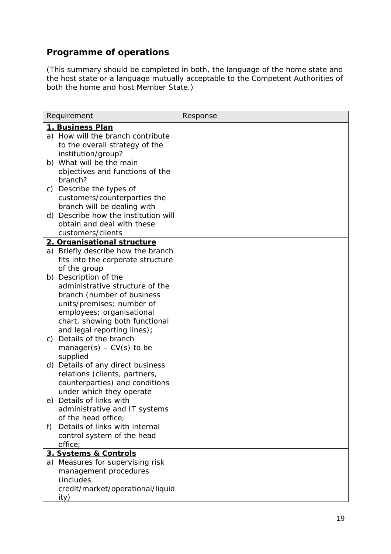## *Programme of operations*

*(This summary should be completed in both, the language of the home state and the host state or a language mutually acceptable to the Competent Authorities of both the home and host Member State.)*

| Requirement                             | Response |
|-----------------------------------------|----------|
| <u>1. Business Plan</u>                 |          |
| a) How will the branch contribute       |          |
| to the overall strategy of the          |          |
| institution/group?                      |          |
| What will be the main<br>b)             |          |
| objectives and functions of the         |          |
| branch?                                 |          |
| Describe the types of<br>C)             |          |
| customers/counterparties the            |          |
| branch will be dealing with             |          |
| Describe how the institution will<br>d) |          |
| obtain and deal with these              |          |
| customers/clients                       |          |
| 2. Organisational structure             |          |
| a) Briefly describe how the branch      |          |
| fits into the corporate structure       |          |
| of the group                            |          |
| Description of the<br>b)                |          |
| administrative structure of the         |          |
| branch (number of business              |          |
| units/premises; number of               |          |
| employees; organisational               |          |
| chart, showing both functional          |          |
| and legal reporting lines);             |          |
| Details of the branch<br>$\mathcal{C}$  |          |
| manager(s) – $CV(s)$ to be              |          |
| supplied                                |          |
| Details of any direct business<br>d)    |          |
| relations (clients, partners,           |          |
| counterparties) and conditions          |          |
| under which they operate                |          |
| e) Details of links with                |          |
| administrative and IT systems           |          |
| of the head office;                     |          |
| Details of links with internal<br>f)    |          |
| control system of the head              |          |
| office;                                 |          |
| 3. Systems & Controls                   |          |
| a) Measures for supervising risk        |          |
| management procedures                   |          |
| <i>(includes</i>                        |          |
| credit/market/operational/liquid        |          |
| ity)                                    |          |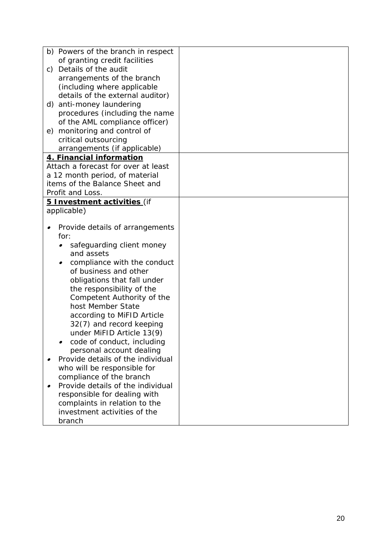| b) Powers of the branch in respect    |  |
|---------------------------------------|--|
| of granting credit facilities         |  |
| Details of the audit<br>C)            |  |
| arrangements of the branch            |  |
| (including where applicable           |  |
| details of the external auditor)      |  |
| anti-money laundering<br>d)           |  |
| procedures (including the name        |  |
| of the AML compliance officer)        |  |
| monitoring and control of<br>e)       |  |
| critical outsourcing                  |  |
| arrangements (if applicable)          |  |
| 4. Financial information              |  |
| Attach a forecast for over at least   |  |
| a 12 month period, of material        |  |
| <i>items of the Balance Sheet and</i> |  |
| Profit and Loss.                      |  |
| 5 Investment activities (if           |  |
| applicable)                           |  |
|                                       |  |
| Provide details of arrangements       |  |
| for:                                  |  |
| safeguarding client money             |  |
| and assets                            |  |
| compliance with the conduct           |  |
| of business and other                 |  |
| obligations that fall under           |  |
| the responsibility of the             |  |
| Competent Authority of the            |  |
| host Member State                     |  |
| according to MiFID Article            |  |
| 32(7) and record keeping              |  |
| under MiFID Article 13(9)             |  |
| code of conduct, including            |  |
| personal account dealing              |  |
| Provide details of the individual     |  |
| who will be responsible for           |  |
| compliance of the branch              |  |
| Provide details of the individual     |  |
| responsible for dealing with          |  |
| complaints in relation to the         |  |
| investment activities of the          |  |
| branch                                |  |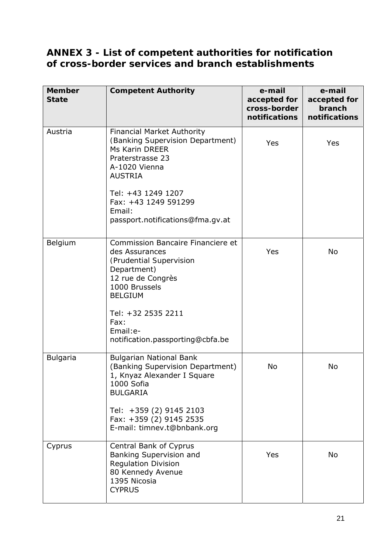## **ANNEX 3 - List of competent authorities for notification of cross-border services and branch establishments**

| <b>Member</b><br><b>State</b> | <b>Competent Authority</b>                                                                                                                                                                                                          | e-mail<br>accepted for<br>cross-border<br>notifications | e-mail<br>accepted for<br>branch<br>notifications |
|-------------------------------|-------------------------------------------------------------------------------------------------------------------------------------------------------------------------------------------------------------------------------------|---------------------------------------------------------|---------------------------------------------------|
| Austria                       | <b>Financial Market Authority</b><br>(Banking Supervision Department)<br>Ms Karin DREER<br>Praterstrasse 23<br>A-1020 Vienna<br><b>AUSTRIA</b><br>Tel: +43 1249 1207                                                                | Yes                                                     | Yes                                               |
|                               | Fax: +43 1249 591299<br>Email:<br>passport.notifications@fma.gv.at                                                                                                                                                                  |                                                         |                                                   |
| Belgium                       | Commission Bancaire Financiere et<br>des Assurances<br>(Prudential Supervision<br>Department)<br>12 rue de Congrès<br>1000 Brussels<br><b>BELGIUM</b><br>Tel: +32 2535 2211<br>Fax:<br>Email:e-<br>notification.passporting@cbfa.be | Yes                                                     | <b>No</b>                                         |
| <b>Bulgaria</b>               | <b>Bulgarian National Bank</b><br>(Banking Supervision Department)<br>1, Knyaz Alexander I Square<br>1000 Sofia<br><b>BULGARIA</b><br>Tel: +359 (2) 9145 2103<br>Fax: +359 (2) 9145 2535<br>E-mail: timnev.t@bnbank.org             | <b>No</b>                                               | <b>No</b>                                         |
| Cyprus                        | Central Bank of Cyprus<br>Banking Supervision and<br><b>Regulation Division</b><br>80 Kennedy Avenue<br>1395 Nicosia<br><b>CYPRUS</b>                                                                                               | Yes                                                     | No                                                |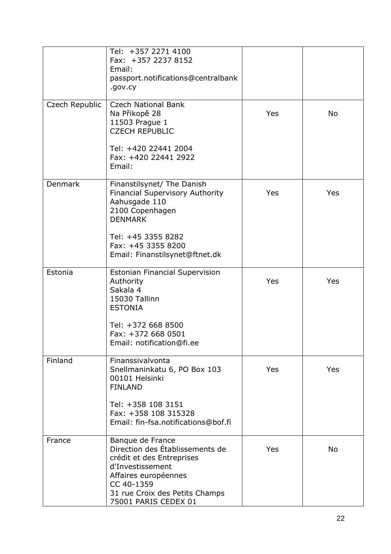|                | Tel: +357 2271 4100<br>Fax: +357 2237 8152<br>Email:<br>passport.notifications@centralbank<br>.gov.cy                                                                                                |     |           |
|----------------|------------------------------------------------------------------------------------------------------------------------------------------------------------------------------------------------------|-----|-----------|
| Czech Republic | <b>Czech National Bank</b><br>Na Přikopě 28<br>11503 Prague 1<br><b>CZECH REPUBLIC</b><br>Tel: +420 22441 2004                                                                                       | Yes | <b>No</b> |
|                | Fax: +420 22441 2922<br>Email:                                                                                                                                                                       |     |           |
| Denmark        | Finanstilsynet/ The Danish<br>Financial Supervisory Authority<br>Aahusgade 110<br>2100 Copenhagen<br><b>DENMARK</b><br>Tel: +45 3355 8282                                                            | Yes | Yes       |
|                | Fax: +45 3355 8200<br>Email: Finanstilsynet@ftnet.dk                                                                                                                                                 |     |           |
| Estonia        | <b>Estonian Financial Supervision</b><br>Authority<br>Sakala 4<br>15030 Tallinn<br><b>ESTONIA</b>                                                                                                    | Yes | Yes       |
|                | Tel: +372 668 8500<br>Fax: +372 668 0501<br>Email: notification@fi.ee                                                                                                                                |     |           |
| Finland        | Finanssivalvonta<br>Snellmaninkatu 6, PO Box 103<br>00101 Helsinki<br><b>FINLAND</b>                                                                                                                 | Yes | Yes       |
|                | Tel: +358 108 3151<br>Fax: +358 108 315328<br>Email: fin-fsa.notifications@bof.fi                                                                                                                    |     |           |
| France         | Banque de France<br>Direction des Établissements de<br>crédit et des Entreprises<br>d'Investissement<br>Affaires européennes<br>CC 40-1359<br>31 rue Croix des Petits Champs<br>75001 PARIS CEDEX 01 | Yes | <b>No</b> |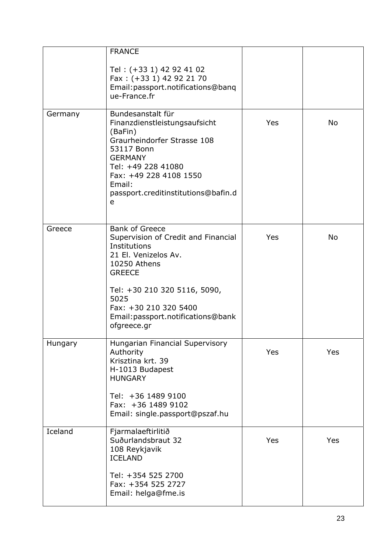|         | <b>FRANCE</b><br>Tel: (+33 1) 42 92 41 02<br>Fax: (+33 1) 42 92 21 70<br>Email: passport.notifications@banq<br>ue-France.fr                                                                                                                                 |     |           |
|---------|-------------------------------------------------------------------------------------------------------------------------------------------------------------------------------------------------------------------------------------------------------------|-----|-----------|
| Germany | Bundesanstalt für<br>Finanzdienstleistungsaufsicht<br>(BaFin)<br>Graurheindorfer Strasse 108<br>53117 Bonn<br><b>GERMANY</b><br>Tel: +49 228 41080<br>Fax: +49 228 4108 1550<br>Email:<br>passport.creditinstitutions@bafin.d<br>e                          | Yes | <b>No</b> |
| Greece  | <b>Bank of Greece</b><br>Supervision of Credit and Financial<br>Institutions<br>21 El. Venizelos Av.<br>10250 Athens<br><b>GREECE</b><br>Tel: +30 210 320 5116, 5090,<br>5025<br>Fax: +30 210 320 5400<br>Email: passport.notifications@bank<br>ofgreece.gr | Yes | No        |
| Hungary | Hungarian Financial Supervisory<br>Authority<br>Krisztina krt. 39<br>H-1013 Budapest<br><b>HUNGARY</b><br>Tel: +36 1489 9100<br>Fax: +36 1489 9102<br>Email: single.passport@pszaf.hu                                                                       | Yes | Yes       |
| Iceland | Fjarmalaeftirlitið<br>Suðurlandsbraut 32<br>108 Reykjavik<br><b>ICELAND</b><br>Tel: +354 525 2700<br>Fax: +354 525 2727<br>Email: helga@fme.is                                                                                                              | Yes | Yes       |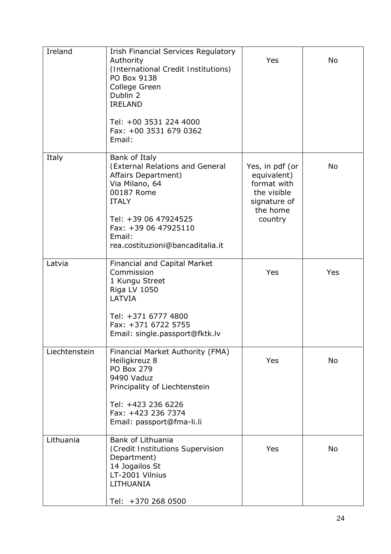| Ireland       | <b>Irish Financial Services Regulatory</b><br>Authority<br>(International Credit Institutions)<br>PO Box 9138<br>College Green<br>Dublin 2<br><b>IRELAND</b><br>Tel: +00 3531 224 4000<br>Fax: +00 3531 679 0362<br>Email: | Yes                                                                                                 | No        |
|---------------|----------------------------------------------------------------------------------------------------------------------------------------------------------------------------------------------------------------------------|-----------------------------------------------------------------------------------------------------|-----------|
| Italy         | Bank of Italy<br>(External Relations and General<br>Affairs Department)<br>Via Milano, 64<br>00187 Rome<br><b>ITALY</b><br>Tel: +39 06 47924525<br>Fax: +39 06 47925110<br>Email:<br>rea.costituzioni@bancaditalia.it      | Yes, in pdf (or<br>equivalent)<br>format with<br>the visible<br>signature of<br>the home<br>country | <b>No</b> |
| Latvia        | <b>Financial and Capital Market</b><br>Commission<br>1 Kungu Street<br>Riga LV 1050<br>LATVIA<br>Tel: +371 6777 4800<br>Fax: +371 6722 5755<br>Email: single.passport@fktk.lv                                              | Yes                                                                                                 | Yes       |
| Liechtenstein | Financial Market Authority (FMA)<br>Heiligkreuz 8<br><b>PO Box 279</b><br>9490 Vaduz<br>Principality of Liechtenstein<br>Tel: +423 236 6226<br>Fax: +423 236 7374<br>Email: passport@fma-li.li                             | Yes                                                                                                 | No        |
| Lithuania     | Bank of Lithuania<br>(Credit Institutions Supervision<br>Department)<br>14 Jogailos St<br>LT-2001 Vilnius<br>LITHUANIA<br>Tel: +370 268 0500                                                                               | Yes                                                                                                 | No        |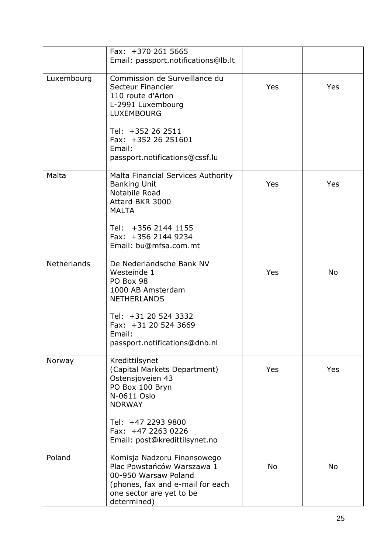|             | Fax: +370 261 5665<br>Email: passport.notifications@lb.lt                                                                                                                                                 |            |           |
|-------------|-----------------------------------------------------------------------------------------------------------------------------------------------------------------------------------------------------------|------------|-----------|
| Luxembourg  | Commission de Surveillance du<br>Secteur Financier<br>110 route d'Arlon<br>L-2991 Luxembourg<br><b>LUXEMBOURG</b><br>Tel: +352 26 2511<br>Fax: +352 26 251601<br>Email:<br>passport.notifications@cssf.lu | <b>Yes</b> | Yes       |
| Malta       | Malta Financial Services Authority<br><b>Banking Unit</b><br>Notabile Road<br>Attard BKR 3000<br><b>MALTA</b><br>Tel: +356 2144 1155<br>Fax: +356 2144 9234<br>Email: bu@mfsa.com.mt                      | <b>Yes</b> | Yes       |
| Netherlands | De Nederlandsche Bank NV<br>Westeinde 1<br>PO Box 98<br>1000 AB Amsterdam<br><b>NETHERLANDS</b><br>Tel: +31 20 524 3332<br>Fax: +31 20 524 3669<br>Email:<br>passport.notifications@dnb.nl                | <b>Yes</b> | <b>No</b> |
| Norway      | Kredittilsynet<br>(Capital Markets Department)<br>Ostensjoveien 43<br>PO Box 100 Bryn<br>N-0611 Oslo<br><b>NORWAY</b><br>Tel: +47 2293 9800<br>Fax: +47 2263 0226<br>Email: post@kredittilsynet.no        | Yes        | Yes       |
| Poland      | Komisja Nadzoru Finansowego<br>Plac Powstańców Warszawa 1<br>00-950 Warsaw Poland<br>(phones, fax and e-mail for each<br>one sector are yet to be<br>determined)                                          | No         | No        |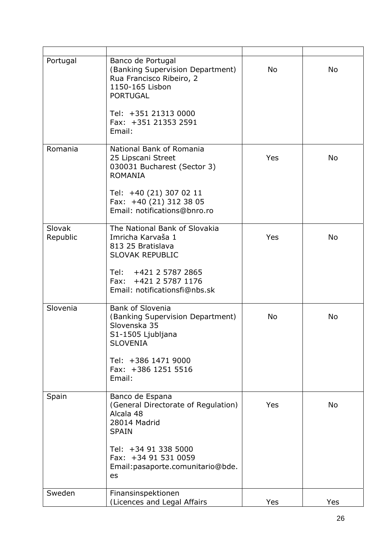| Portugal           | Banco de Portugal<br>(Banking Supervision Department)<br>Rua Francisco Ribeiro, 2<br>1150-165 Lisbon<br><b>PORTUGAL</b><br>Tel: +351 21313 0000<br>Fax: +351 21353 2591<br>Email:              | <b>No</b>  | <b>No</b> |
|--------------------|------------------------------------------------------------------------------------------------------------------------------------------------------------------------------------------------|------------|-----------|
| Romania            | National Bank of Romania<br>25 Lipscani Street<br>030031 Bucharest (Sector 3)<br><b>ROMANIA</b><br>Tel: +40 (21) 307 02 11<br>Fax: +40 (21) 312 38 05<br>Email: notifications@bnro.ro          | <b>Yes</b> | <b>No</b> |
| Slovak<br>Republic | The National Bank of Slovakia<br>Imricha Karvaša 1<br>813 25 Bratislava<br><b>SLOVAK REPUBLIC</b><br>Tel: +421 2 5787 2865<br>Fax: +421 2 5787 1176<br>Email: notificationsfi@nbs.sk           | Yes        | <b>No</b> |
| Slovenia           | <b>Bank of Slovenia</b><br>(Banking Supervision Department)<br>Slovenska 35<br>S1-1505 Ljubljana<br><b>SLOVENIA</b><br>Tel: +386 1471 9000<br>Fax: +386 1251 5516<br>Email:                    | <b>No</b>  | <b>No</b> |
| Spain              | Banco de Espana<br>(General Directorate of Regulation)<br>Alcala 48<br>28014 Madrid<br><b>SPAIN</b><br>Tel: +34 91 338 5000<br>Fax: +34 91 531 0059<br>Email: pasaporte.comunitario@bde.<br>es | Yes        | <b>No</b> |
| Sweden             | Finansinspektionen<br>(Licences and Legal Affairs                                                                                                                                              | Yes        | Yes       |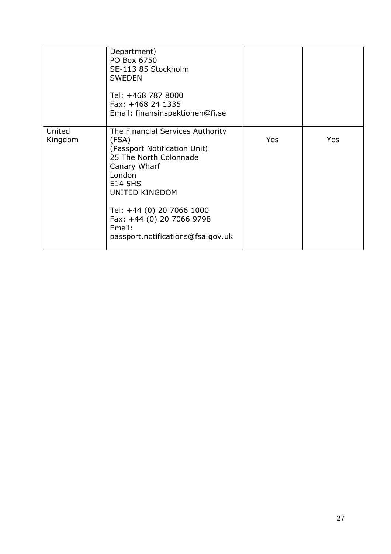|                   | Department)<br>PO Box 6750<br>SE-113 85 Stockholm<br><b>SWEDEN</b><br>Tel: +468 787 8000<br>Fax: +468 24 1335<br>Email: finansinspektionen@fi.se                                                                                                                                  |            |     |
|-------------------|-----------------------------------------------------------------------------------------------------------------------------------------------------------------------------------------------------------------------------------------------------------------------------------|------------|-----|
| United<br>Kingdom | The Financial Services Authority<br>(FSA)<br>(Passport Notification Unit)<br>25 The North Colonnade<br>Canary Wharf<br>London<br><b>E14 5HS</b><br><b>UNITED KINGDOM</b><br>Tel: +44 (0) 20 7066 1000<br>Fax: +44 (0) 20 7066 9798<br>Email:<br>passport.notifications@fsa.gov.uk | <b>Yes</b> | Yes |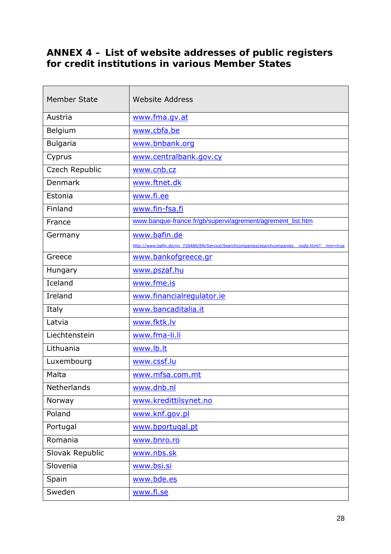## **ANNEX 4 – List of website addresses of public registers for credit institutions in various Member States**

| <b>Member State</b> | <b>Website Address</b>                                                                       |
|---------------------|----------------------------------------------------------------------------------------------|
| Austria             | www.fma.gv.at                                                                                |
| Belgium             | www.cbfa.be                                                                                  |
| <b>Bulgaria</b>     | www.bnbank.org                                                                               |
| Cyprus              | www.centralbank.gov.cy                                                                       |
| Czech Republic      | www.cnb.cz                                                                                   |
| <b>Denmark</b>      | www.ftnet.dk                                                                                 |
| Estonia             | www.fi.ee                                                                                    |
| Finland             | www.fin-fsa.fi                                                                               |
| France              | www.banque-france.fr/gb/supervi/agrement/agrement_list.htm                                   |
| Germany             | www.bafin.de                                                                                 |
|                     | http://www.bafin.de/nn 720486/EN/Service/Searchcompanies/searchcompanies node.html? nnn=true |
| Greece              | www.bankofgreece.gr                                                                          |
| Hungary             | www.pszaf.hu                                                                                 |
| Iceland             | www.fme.is                                                                                   |
| Ireland             | www.financialregulator.ie                                                                    |
| Italy               | www.bancaditalia.it                                                                          |
| Latvia              | www.fktk.lv                                                                                  |
| Liechtenstein       | www.fma-li.li                                                                                |
| Lithuania           | www.lb.lt                                                                                    |
| Luxembourg          | www.cssf.lu                                                                                  |
| Malta               | www.mfsa.com.mt                                                                              |
| <b>Netherlands</b>  | www.dnb.nl                                                                                   |
| Norway              | www.kredittilsynet.no                                                                        |
| Poland              | www.knf.gov.pl                                                                               |
| Portugal            | www.bportugal.pt                                                                             |
| Romania             | www.bnro.ro                                                                                  |
| Slovak Republic     | www.nbs.sk                                                                                   |
| Slovenia            | www.bsi.si                                                                                   |
| Spain               | www.bde.es                                                                                   |
| Sweden              | www.fi.se                                                                                    |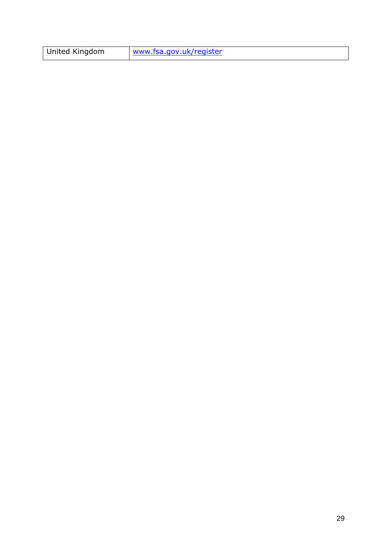| United Kingdom | www.fsa.gov.uk/register |
|----------------|-------------------------|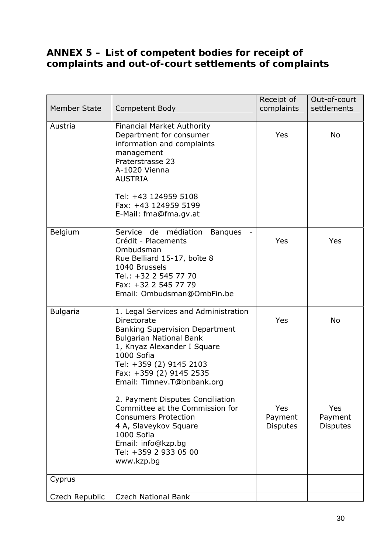## **ANNEX 5 – List of competent bodies for receipt of complaints and out-of-court settlements of complaints**

| <b>Member State</b> | Competent Body                                                                                                                                                                                                                                                                                                                                                                                                                                                            | Receipt of<br>complaints                 | Out-of-court<br>settlements             |
|---------------------|---------------------------------------------------------------------------------------------------------------------------------------------------------------------------------------------------------------------------------------------------------------------------------------------------------------------------------------------------------------------------------------------------------------------------------------------------------------------------|------------------------------------------|-----------------------------------------|
| Austria             | <b>Financial Market Authority</b><br>Department for consumer<br>information and complaints<br>management<br>Praterstrasse 23<br>A-1020 Vienna<br><b>AUSTRIA</b><br>Tel: +43 124959 5108<br>Fax: +43 124959 5199<br>E-Mail: fma@fma.gv.at                                                                                                                                                                                                                                  | Yes                                      | No                                      |
| Belgium             | Service de médiation<br><b>Banques</b><br>Crédit - Placements<br>Ombudsman<br>Rue Belliard 15-17, boîte 8<br>1040 Brussels<br>Tel.: +32 2 545 77 70<br>Fax: +32 2 545 77 79<br>Email: Ombudsman@OmbFin.be                                                                                                                                                                                                                                                                 | Yes                                      | Yes                                     |
| <b>Bulgaria</b>     | 1. Legal Services and Administration<br>Directorate<br><b>Banking Supervision Department</b><br><b>Bulgarian National Bank</b><br>1, Knyaz Alexander I Square<br>1000 Sofia<br>Tel: +359 (2) 9145 2103<br>Fax: +359 (2) 9145 2535<br>Email: Timnev.T@bnbank.org<br>2. Payment Disputes Conciliation<br>Committee at the Commission for<br><b>Consumers Protection</b><br>4 A, Slaveykov Square<br>1000 Sofia<br>Email: info@kzp.bg<br>Tel: +359 2 933 05 00<br>www.kzp.bg | Yes<br>Yes<br>Payment<br><b>Disputes</b> | No<br>Yes<br>Payment<br><b>Disputes</b> |
| Cyprus              |                                                                                                                                                                                                                                                                                                                                                                                                                                                                           |                                          |                                         |
| Czech Republic      | <b>Czech National Bank</b>                                                                                                                                                                                                                                                                                                                                                                                                                                                |                                          |                                         |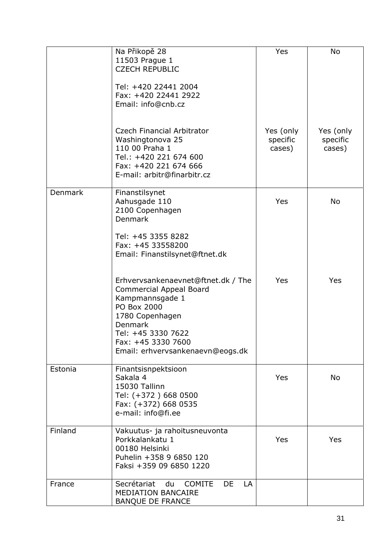|         | Na Přikopě 28<br>11503 Prague 1<br><b>CZECH REPUBLIC</b><br>Tel: +420 22441 2004<br>Fax: +420 22441 2922<br>Email: info@cnb.cz                                                                                              | Yes                             | <b>No</b>                       |
|---------|-----------------------------------------------------------------------------------------------------------------------------------------------------------------------------------------------------------------------------|---------------------------------|---------------------------------|
|         | Czech Financial Arbitrator<br>Washingtonova 25<br>110 00 Praha 1<br>Tel.: +420 221 674 600<br>Fax: +420 221 674 666<br>E-mail: arbitr@finarbitr.cz                                                                          | Yes (only<br>specific<br>cases) | Yes (only<br>specific<br>cases) |
| Denmark | Finanstilsynet<br>Aahusgade 110<br>2100 Copenhagen<br><b>Denmark</b><br>Tel: +45 3355 8282<br>Fax: +45 33558200<br>Email: Finanstilsynet@ftnet.dk                                                                           | Yes                             | No                              |
|         | Erhvervsankenaevnet@ftnet.dk / The<br><b>Commercial Appeal Board</b><br>Kampmannsgade 1<br>PO Box 2000<br>1780 Copenhagen<br><b>Denmark</b><br>Tel: +45 3330 7622<br>Fax: +45 3330 7600<br>Email: erhvervsankenaevn@eogs.dk | Yes                             | Yes                             |
| Estonia | Finantsisnpektsioon<br>Sakala 4<br>15030 Tallinn<br>Tel: (+372) 668 0500<br>Fax: (+372) 668 0535<br>e-mail: info@fi.ee                                                                                                      | Yes                             | No                              |
| Finland | Vakuutus- ja rahoitusneuvonta<br>Porkkalankatu 1<br>00180 Helsinki<br>Puhelin +358 9 6850 120<br>Faksi +359 09 6850 1220                                                                                                    | Yes                             | Yes                             |
| France  | Secrétariat<br>du<br><b>COMITE</b><br>DE<br>LA<br><b>MEDIATION BANCAIRE</b><br><b>BANQUE DE FRANCE</b>                                                                                                                      |                                 |                                 |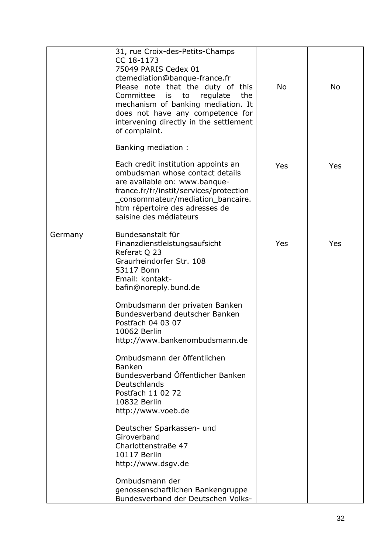|         | 31, rue Croix-des-Petits-Champs<br>CC 18-1173<br>75049 PARIS Cedex 01<br>ctemediation@banque-france.fr<br>Please note that the duty of this<br>Committee is to<br>regulate<br>the<br>mechanism of banking mediation. It<br>does not have any competence for<br>intervening directly in the settlement<br>of complaint.                                                                                                                                                                                                                                                                                                                                                    | <b>No</b> | <b>No</b> |
|---------|---------------------------------------------------------------------------------------------------------------------------------------------------------------------------------------------------------------------------------------------------------------------------------------------------------------------------------------------------------------------------------------------------------------------------------------------------------------------------------------------------------------------------------------------------------------------------------------------------------------------------------------------------------------------------|-----------|-----------|
|         | Banking mediation:                                                                                                                                                                                                                                                                                                                                                                                                                                                                                                                                                                                                                                                        |           |           |
|         | Each credit institution appoints an<br>ombudsman whose contact details<br>are available on: www.banque-<br>france.fr/fr/instit/services/protection<br>consommateur/mediation_bancaire.<br>htm répertoire des adresses de<br>saisine des médiateurs                                                                                                                                                                                                                                                                                                                                                                                                                        | Yes       | Yes       |
| Germany | Bundesanstalt für<br>Finanzdienstleistungsaufsicht<br>Referat Q 23<br>Graurheindorfer Str. 108<br>53117 Bonn<br>Email: kontakt-<br>bafin@noreply.bund.de<br>Ombudsmann der privaten Banken<br>Bundesverband deutscher Banken<br>Postfach 04 03 07<br>10062 Berlin<br>http://www.bankenombudsmann.de<br>Ombudsmann der öffentlichen<br><b>Banken</b><br>Bundesverband Öffentlicher Banken<br>Deutschlands<br>Postfach 11 02 72<br>10832 Berlin<br>http://www.voeb.de<br>Deutscher Sparkassen- und<br>Giroverband<br>Charlottenstraße 47<br>10117 Berlin<br>http://www.dsgv.de<br>Ombudsmann der<br>genossenschaftlichen Bankengruppe<br>Bundesverband der Deutschen Volks- | Yes       | Yes       |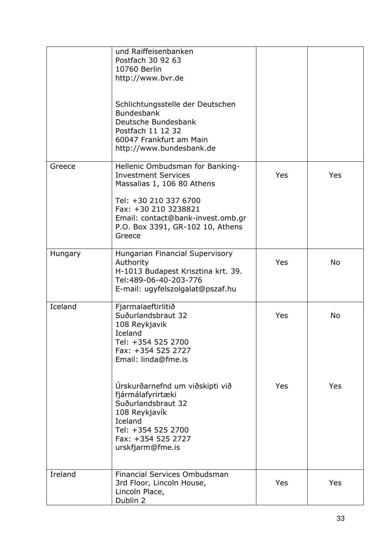|         | und Raiffeisenbanken<br>Postfach 30 92 63<br>10760 Berlin<br>http://www.bvr.de<br>Schlichtungsstelle der Deutschen<br><b>Bundesbank</b><br>Deutsche Bundesbank<br>Postfach 11 12 32<br>60047 Frankfurt am Main<br>http://www.bundesbank.de |            |           |
|---------|--------------------------------------------------------------------------------------------------------------------------------------------------------------------------------------------------------------------------------------------|------------|-----------|
| Greece  | Hellenic Ombudsman for Banking-<br><b>Investment Services</b><br>Massalias 1, 106 80 Athens<br>Tel: +30 210 337 6700<br>Fax: +30 210 3238821<br>Email: contact@bank-invest.omb.gr<br>P.O. Box 3391, GR-102 10, Athens<br>Greece            | Yes        | Yes       |
| Hungary | Hungarian Financial Supervisory<br>Authority<br>H-1013 Budapest Krisztina krt. 39.<br>Tel:489-06-40-203-776<br>E-mail: ugyfelszolgalat@pszaf.hu                                                                                            | Yes        | <b>No</b> |
| Iceland | Fjarmalaeftirlitið<br>Suðurlandsbraut 32<br>108 Reykjavik<br>Iceland<br>Tel: +354 525 2700<br>Fax: +354 525 2727<br>Email: linda@fme.is                                                                                                    | Yes        | <b>No</b> |
|         | Úrskurðarnefnd um viðskipti við<br>fjármálafyrirtæki<br>Suðurlandsbraut 32<br>108 Reykjavík<br>Iceland<br>Tel: +354 525 2700<br>Fax: +354 525 2727<br>urskfjarm@fme.is                                                                     | Yes        | Yes       |
| Ireland | Financial Services Ombudsman<br>3rd Floor, Lincoln House,<br>Lincoln Place,<br>Dublin 2                                                                                                                                                    | <b>Yes</b> | Yes       |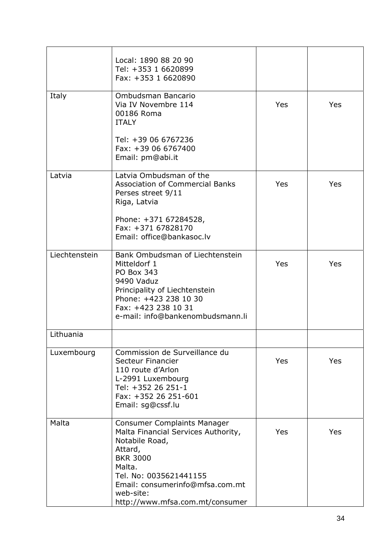|               | Local: 1890 88 20 90<br>Tel: +353 1 6620899<br>Fax: +353 1 6620890                                                                                                                                                                               |     |     |
|---------------|--------------------------------------------------------------------------------------------------------------------------------------------------------------------------------------------------------------------------------------------------|-----|-----|
| Italy         | Ombudsman Bancario<br>Via IV Novembre 114<br>00186 Roma<br><b>ITALY</b><br>Tel: +39 06 6767236<br>Fax: +39 06 6767400<br>Email: pm@abi.it                                                                                                        | Yes | Yes |
| Latvia        | Latvia Ombudsman of the<br><b>Association of Commercial Banks</b><br>Perses street 9/11<br>Riga, Latvia<br>Phone: +371 67284528,<br>Fax: +371 67828170<br>Email: office@bankasoc.lv                                                              | Yes | Yes |
| Liechtenstein | Bank Ombudsman of Liechtenstein<br>Mitteldorf 1<br>PO Box 343<br>9490 Vaduz<br>Principality of Liechtenstein<br>Phone: +423 238 10 30<br>Fax: +423 238 10 31<br>e-mail: info@bankenombudsmann.li                                                 | Yes | Yes |
| Lithuania     |                                                                                                                                                                                                                                                  |     |     |
| Luxembourg    | Commission de Surveillance du<br>Secteur Financier<br>110 route d'Arlon<br>L-2991 Luxembourg<br>Tel: +352 26 251-1<br>Fax: +352 26 251-601<br>Email: sg@cssf.lu                                                                                  | Yes | Yes |
| Malta         | <b>Consumer Complaints Manager</b><br>Malta Financial Services Authority,<br>Notabile Road,<br>Attard,<br><b>BKR 3000</b><br>Malta.<br>Tel. No: 0035621441155<br>Email: consumerinfo@mfsa.com.mt<br>web-site:<br>http://www.mfsa.com.mt/consumer | Yes | Yes |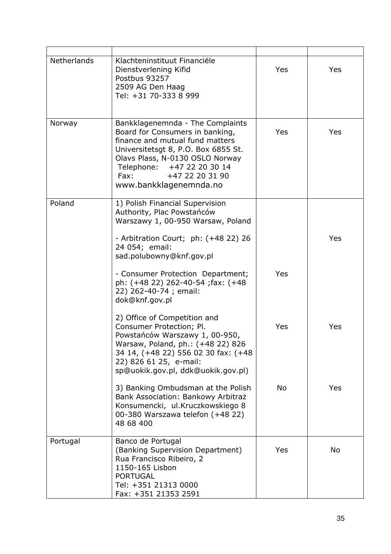| Netherlands | Klachteninstituut Financiële<br>Dienstverlening Kifid<br>Postbus 93257<br>2509 AG Den Haag<br>Tel: +31 70-333 8 999                                                                                                                                                      | Yes        | Yes |
|-------------|--------------------------------------------------------------------------------------------------------------------------------------------------------------------------------------------------------------------------------------------------------------------------|------------|-----|
| Norway      | Bankklagenemnda - The Complaints<br>Board for Consumers in banking,<br>finance and mutual fund matters<br>Universitetsgt 8, P.O. Box 6855 St.<br>Olavs Plass, N-0130 OSLO Norway<br>Telephone: +47 22 20 30 14<br>+47 22 20 31 90<br>Fax: Fax:<br>www.bankklagenemnda.no | <b>Yes</b> | Yes |
| Poland      | 1) Polish Financial Supervision<br>Authority, Plac Powstańców<br>Warszawy 1, 00-950 Warsaw, Poland<br>- Arbitration Court; ph: (+48 22) 26<br>24 054; email:<br>sad.polubowny@knf.gov.pl                                                                                 |            | Yes |
|             | - Consumer Protection Department;<br>ph: (+48 22) 262-40-54 ; fax: (+48<br>22) 262-40-74; email:<br>dok@knf.gov.pl                                                                                                                                                       | Yes        |     |
|             | 2) Office of Competition and<br>Consumer Protection; Pl.<br>Powstańców Warszawy 1, 00-950,<br>Warsaw, Poland, ph.: (+48 22) 826<br>34 14, (+48 22) 556 02 30 fax: (+48<br>22) 826 61 25, e-mail:<br>sp@uokik.gov.pl, ddk@uokik.gov.pl)                                   | Yes        | Yes |
|             | 3) Banking Ombudsman at the Polish<br>Bank Association: Bankowy Arbitraż<br>Konsumencki, ul.Kruczkowskiego 8<br>00-380 Warszawa telefon (+48 22)<br>48 68 400                                                                                                            | No         | Yes |
| Portugal    | Banco de Portugal<br>(Banking Supervision Department)<br>Rua Francisco Ribeiro, 2<br>1150-165 Lisbon<br><b>PORTUGAL</b><br>Tel: +351 21313 0000<br>Fax: +351 21353 2591                                                                                                  | Yes        | No  |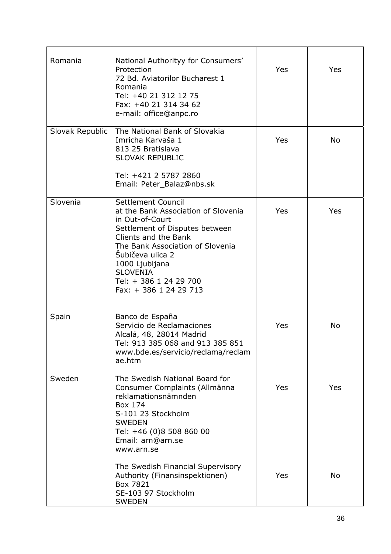| Romania         | National Authorityy for Consumers'<br>Protection<br>72 Bd. Aviatorilor Bucharest 1<br>Romania<br>Tel: +40 21 312 12 75<br>Fax: +40 21 314 34 62<br>e-mail: office@anpc.ro                                                                                                               | Yes | Yes       |
|-----------------|-----------------------------------------------------------------------------------------------------------------------------------------------------------------------------------------------------------------------------------------------------------------------------------------|-----|-----------|
| Slovak Republic | The National Bank of Slovakia<br>Imricha Karvaša 1<br>813 25 Bratislava<br><b>SLOVAK REPUBLIC</b><br>Tel: +421 2 5787 2860<br>Email: Peter_Balaz@nbs.sk                                                                                                                                 | Yes | <b>No</b> |
| Slovenia        | Settlement Council<br>at the Bank Association of Slovenia<br>in Out-of-Court<br>Settlement of Disputes between<br>Clients and the Bank<br>The Bank Association of Slovenia<br>Šubičeva ulica 2<br>1000 Ljubljana<br><b>SLOVENIA</b><br>Tel: + 386 1 24 29 700<br>Fax: + 386 1 24 29 713 | Yes | Yes       |
| Spain           | Banco de España<br>Servicio de Reclamaciones<br>Alcalá, 48, 28014 Madrid<br>Tel: 913 385 068 and 913 385 851<br>www.bde.es/servicio/reclama/reclam<br>ae.htm                                                                                                                            | Yes | No        |
| Sweden          | The Swedish National Board for<br>Consumer Complaints (Allmänna<br>reklamationsnämnden<br>Box 174<br>S-101 23 Stockholm<br><b>SWEDEN</b><br>Tel: +46 (0)8 508 860 00<br>Email: arn@arn.se<br>www.arn.se                                                                                 | Yes | Yes       |
|                 | The Swedish Financial Supervisory<br>Authority (Finansinspektionen)<br>Box 7821<br>SE-103 97 Stockholm<br><b>SWEDEN</b>                                                                                                                                                                 | Yes | <b>No</b> |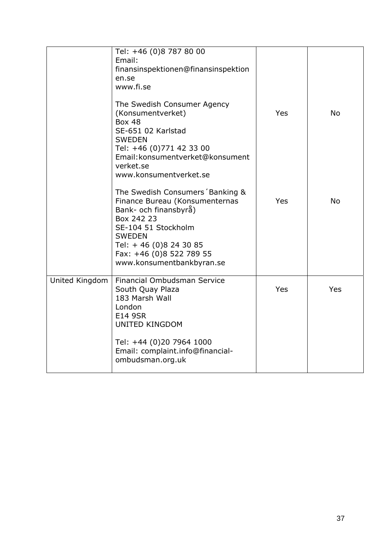|                | Tel: +46 (0)8 787 80 00<br>Email:<br>finansinspektionen@finansinspektion<br>en.se<br>www.fi.se                                                                                                                                      |     |           |
|----------------|-------------------------------------------------------------------------------------------------------------------------------------------------------------------------------------------------------------------------------------|-----|-----------|
|                | The Swedish Consumer Agency<br>(Konsumentverket)<br><b>Box 48</b><br>SE-651 02 Karlstad<br><b>SWEDEN</b><br>Tel: +46 (0)771 42 33 00<br>Email: konsumentverket@konsument<br>verket.se<br>www.konsumentverket.se                     | Yes | <b>No</b> |
|                | The Swedish Consumers Banking &<br>Finance Bureau (Konsumenternas<br>Bank- och finansbyrå)<br>Box 242 23<br>SE-104 51 Stockholm<br><b>SWEDEN</b><br>Tel: +46 (0)8 24 30 85<br>Fax: +46 (0)8 522 789 55<br>www.konsumentbankbyran.se | Yes | <b>No</b> |
| United Kingdom | Financial Ombudsman Service<br>South Quay Plaza<br>183 Marsh Wall<br>London<br><b>E14 9SR</b><br><b>UNITED KINGDOM</b><br>Tel: +44 (0)20 7964 1000<br>Email: complaint.info@financial-<br>ombudsman.org.uk                          | Yes | Yes       |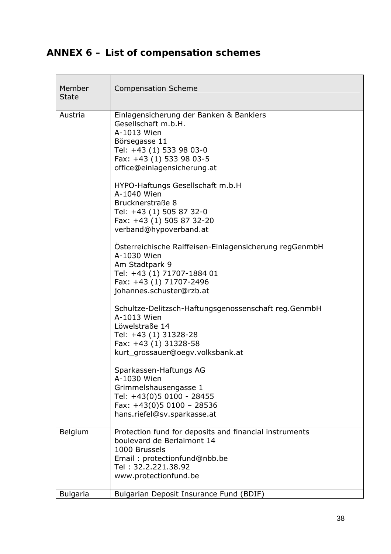# **ANNEX 6 – List of compensation schemes**

| Member<br><b>State</b> | <b>Compensation Scheme</b>                                                                                                                                                            |
|------------------------|---------------------------------------------------------------------------------------------------------------------------------------------------------------------------------------|
| Austria                | Einlagensicherung der Banken & Bankiers<br>Gesellschaft m.b.H.<br>A-1013 Wien<br>Börsegasse 11<br>Tel: +43 (1) 533 98 03-0<br>Fax: +43 (1) 533 98 03-5<br>office@einlagensicherung.at |
|                        | HYPO-Haftungs Gesellschaft m.b.H<br>A-1040 Wien<br>Brucknerstraße 8<br>Tel: +43 (1) 505 87 32-0<br>Fax: +43 (1) 505 87 32-20<br>verband@hypoverband.at                                |
|                        | Österreichische Raiffeisen-Einlagensicherung regGenmbH<br>A-1030 Wien<br>Am Stadtpark 9<br>Tel: +43 (1) 71707-1884 01<br>Fax: +43 (1) 71707-2496<br>johannes.schuster@rzb.at          |
|                        | Schultze-Delitzsch-Haftungsgenossenschaft reg.GenmbH<br>A-1013 Wien<br>Löwelstraße 14<br>Tel: +43 (1) 31328-28<br>Fax: +43 (1) 31328-58<br>kurt_grossauer@oegv.volksbank.at           |
|                        | Sparkassen-Haftungs AG<br>A-1030 Wien<br>Grimmelshausengasse 1<br>Tel: +43(0)5 0100 - 28455<br>Fax: $+43(0)50100 - 28536$<br>hans.riefel@sv.sparkasse.at                              |
| Belgium                | Protection fund for deposits and financial instruments<br>boulevard de Berlaimont 14<br>1000 Brussels<br>Email: protectionfund@nbb.be<br>Tel: 32.2.221.38.92<br>www.protectionfund.be |
| <b>Bulgaria</b>        | Bulgarian Deposit Insurance Fund (BDIF)                                                                                                                                               |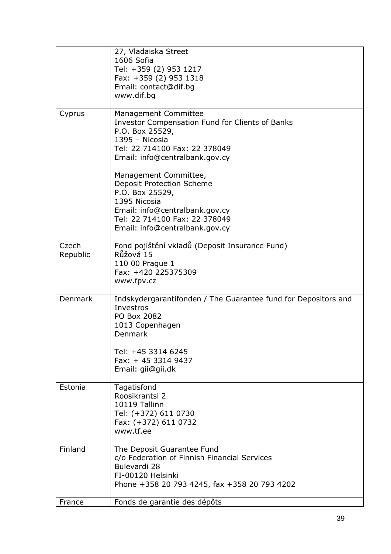|          | 27, Vladaiska Street                                           |
|----------|----------------------------------------------------------------|
|          | 1606 Sofia                                                     |
|          | Tel: +359 (2) 953 1217                                         |
|          | Fax: +359 (2) 953 1318                                         |
|          | Email: contact@dif.bg                                          |
|          | www.dif.bg                                                     |
|          |                                                                |
| Cyprus   | Management Committee                                           |
|          | <b>Investor Compensation Fund for Clients of Banks</b>         |
|          | P.O. Box 25529,                                                |
|          | $1395 -$ Nicosia                                               |
|          | Tel: 22 714100 Fax: 22 378049                                  |
|          | Email: info@centralbank.gov.cy                                 |
|          |                                                                |
|          | Management Committee,                                          |
|          | <b>Deposit Protection Scheme</b>                               |
|          | P.O. Box 25529,                                                |
|          | 1395 Nicosia                                                   |
|          | Email: info@centralbank.gov.cy                                 |
|          | Tel: 22 714100 Fax: 22 378049                                  |
|          | Email: info@centralbank.gov.cy                                 |
|          |                                                                |
| Czech    | Fond pojištění vkladů (Deposit Insurance Fund)                 |
| Republic | Růžová 15                                                      |
|          | 110 00 Prague 1                                                |
|          | Fax: +420 225375309                                            |
|          | www.fpv.cz                                                     |
|          |                                                                |
| Denmark  | Indskydergarantifonden / The Guarantee fund for Depositors and |
|          | Investros                                                      |
|          | PO Box 2082                                                    |
|          | 1013 Copenhagen                                                |
|          | Denmark                                                        |
|          |                                                                |
|          | Tel: +45 3314 6245                                             |
|          | Fax: $+ 45$ 3314 9437                                          |
|          | Email: gii@gii.dk                                              |
| Estonia  | Tagatisfond                                                    |
|          | Roosikrantsi 2                                                 |
|          | 10119 Tallinn                                                  |
|          | Tel: (+372) 611 0730                                           |
|          | Fax: (+372) 611 0732                                           |
|          | www.tf.ee                                                      |
|          |                                                                |
| Finland  | The Deposit Guarantee Fund                                     |
|          | c/o Federation of Finnish Financial Services                   |
|          | Bulevardi 28                                                   |
|          | FI-00120 Helsinki                                              |
|          | Phone +358 20 793 4245, fax +358 20 793 4202                   |
|          |                                                                |
| France   | Fonds de garantie des dépôts                                   |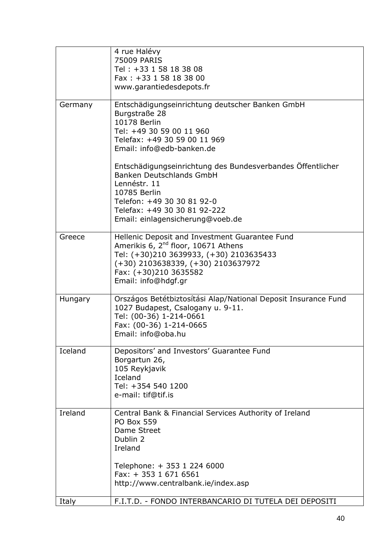|         | 4 rue Halévy<br>75009 PARIS<br>Tel: +33 1 58 18 38 08<br>Fax: +33 1 58 18 38 00<br>www.garantiedesdepots.fr                                                                                                                                                                                                                                                                                                  |
|---------|--------------------------------------------------------------------------------------------------------------------------------------------------------------------------------------------------------------------------------------------------------------------------------------------------------------------------------------------------------------------------------------------------------------|
| Germany | Entschädigungseinrichtung deutscher Banken GmbH<br>Burgstraße 28<br>10178 Berlin<br>Tel: +49 30 59 00 11 960<br>Telefax: +49 30 59 00 11 969<br>Email: info@edb-banken.de<br>Entschädigungseinrichtung des Bundesverbandes Öffentlicher<br><b>Banken Deutschlands GmbH</b><br>Lennéstr. 11<br>10785 Berlin<br>Telefon: +49 30 30 81 92-0<br>Telefax: +49 30 30 81 92-222<br>Email: einlagensicherung@voeb.de |
| Greece  | Hellenic Deposit and Investment Guarantee Fund<br>Amerikis 6, 2 <sup>nd</sup> floor, 10671 Athens<br>Tel: (+30)210 3639933, (+30) 2103635433<br>$(+30)$ 2103638339, $(+30)$ 2103637972<br>Fax: (+30)210 3635582<br>Email: info@hdgf.gr                                                                                                                                                                       |
| Hungary | Országos Betétbiztosítási Alap/National Deposit Insurance Fund<br>1027 Budapest, Csalogany u. 9-11.<br>Tel: (00-36) 1-214-0661<br>Fax: (00-36) 1-214-0665<br>Email: info@oba.hu                                                                                                                                                                                                                              |
| Iceland | Depositors' and Investors' Guarantee Fund<br>Borgartun 26,<br>105 Reykjavik<br>Iceland<br>Tel: +354 540 1200<br>e-mail: tif@tif.is                                                                                                                                                                                                                                                                           |
| Ireland | Central Bank & Financial Services Authority of Ireland<br><b>PO Box 559</b><br>Dame Street<br>Dublin 2<br>Ireland<br>Telephone: + 353 1 224 6000<br>Fax: $+35316716561$                                                                                                                                                                                                                                      |
|         | http://www.centralbank.ie/index.asp                                                                                                                                                                                                                                                                                                                                                                          |
| Italy   | F.I.T.D. - FONDO INTERBANCARIO DI TUTELA DEI DEPOSITI                                                                                                                                                                                                                                                                                                                                                        |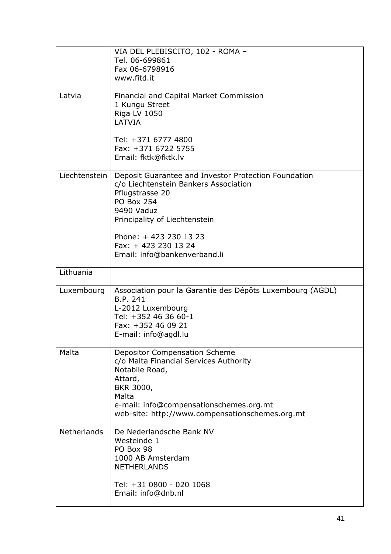|                    | VIA DEL PLEBISCITO, 102 - ROMA -<br>Tel. 06-699861<br>Fax 06-6798916<br>www.fitd.it                                                                                                                                                                                  |
|--------------------|----------------------------------------------------------------------------------------------------------------------------------------------------------------------------------------------------------------------------------------------------------------------|
| Latvia             | Financial and Capital Market Commission<br>1 Kungu Street<br>Riga LV 1050<br>LATVIA<br>Tel: +371 6777 4800<br>Fax: +371 6722 5755<br>Email: fktk@fktk.lv                                                                                                             |
| Liechtenstein      | Deposit Guarantee and Investor Protection Foundation<br>c/o Liechtenstein Bankers Association<br>Pflugstrasse 20<br><b>PO Box 254</b><br>9490 Vaduz<br>Principality of Liechtenstein<br>Phone: +423 230 13 23<br>Fax: +423 230 13 24<br>Email: info@bankenverband.li |
| Lithuania          |                                                                                                                                                                                                                                                                      |
| Luxembourg         | Association pour la Garantie des Dépôts Luxembourg (AGDL)<br>B.P. 241<br>L-2012 Luxembourg<br>Tel: +352 46 36 60-1<br>Fax: +352 46 09 21<br>E-mail: info@agdl.lu                                                                                                     |
| Malta              | <b>Depositor Compensation Scheme</b><br>c/o Malta Financial Services Authority<br>Notabile Road,<br>Attard,<br>BKR 3000,<br>Malta<br>e-mail: info@compensationschemes.org.mt<br>web-site: http://www.compensationschemes.org.mt                                      |
| <b>Netherlands</b> | De Nederlandsche Bank NV<br>Westeinde 1<br>PO Box 98<br>1000 AB Amsterdam<br><b>NETHERLANDS</b><br>Tel: +31 0800 - 020 1068<br>Email: info@dnb.nl                                                                                                                    |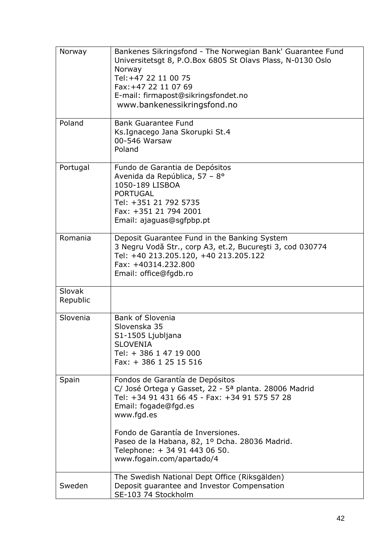| Norway             | Bankenes Sikringsfond - The Norwegian Bank' Guarantee Fund<br>Universitetsgt 8, P.O.Box 6805 St Olavs Plass, N-0130 Oslo<br>Norway<br>Tel: +47 22 11 00 75<br>Fax: +47 22 11 07 69<br>E-mail: firmapost@sikringsfondet.no<br>www.bankenessikringsfond.no |
|--------------------|----------------------------------------------------------------------------------------------------------------------------------------------------------------------------------------------------------------------------------------------------------|
| Poland             | <b>Bank Guarantee Fund</b><br>Ks.Ignacego Jana Skorupki St.4<br>00-546 Warsaw<br>Poland                                                                                                                                                                  |
| Portugal           | Fundo de Garantia de Depósitos<br>Avenida da República, 57 - 8°<br>1050-189 LISBOA<br><b>PORTUGAL</b><br>Tel: +351 21 792 5735<br>Fax: +351 21 794 2001<br>Email: ajaguas@sgfpbp.pt                                                                      |
| Romania            | Deposit Guarantee Fund in the Banking System<br>3 Negru Vodă Str., corp A3, et.2, București 3, cod 030774<br>Tel: +40 213.205.120, +40 213.205.122<br>Fax: +40314.232.800<br>Email: office@fgdb.ro                                                       |
| Slovak<br>Republic |                                                                                                                                                                                                                                                          |
| Slovenia           | <b>Bank of Slovenia</b><br>Slovenska 35<br>S1-1505 Ljubljana<br><b>SLOVENIA</b><br>Tel: + 386 1 47 19 000<br>Fax: + 386 1 25 15 516                                                                                                                      |
| Spain              | Fondos de Garantía de Depósitos<br>C/ José Ortega y Gasset, 22 - 5ª planta. 28006 Madrid<br>Tel: +34 91 431 66 45 - Fax: +34 91 575 57 28<br>Email: fogade@fgd.es<br>www.fgd.es<br>Fondo de Garantía de Inversiones.                                     |
|                    | Paseo de la Habana, 82, 1º Dcha. 28036 Madrid.<br>Telephone: + 34 91 443 06 50.<br>www.fogain.com/apartado/4                                                                                                                                             |
| Sweden             | The Swedish National Dept Office (Riksgälden)<br>Deposit guarantee and Investor Compensation<br>SE-103 74 Stockholm                                                                                                                                      |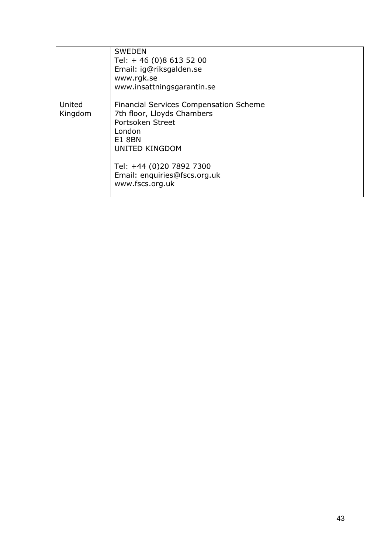|                   | <b>SWEDEN</b><br>Tel: +46 (0)8 613 52 00<br>Email: ig@riksgalden.se<br>www.rgk.se<br>www.insattningsgarantin.se                                                                                                                    |
|-------------------|------------------------------------------------------------------------------------------------------------------------------------------------------------------------------------------------------------------------------------|
| United<br>Kingdom | <b>Financial Services Compensation Scheme</b><br>7th floor, Lloyds Chambers<br>Portsoken Street<br>London<br><b>E1 8BN</b><br><b>UNITED KINGDOM</b><br>Tel: +44 (0)20 7892 7300<br>Email: enquiries@fscs.org.uk<br>www.fscs.org.uk |